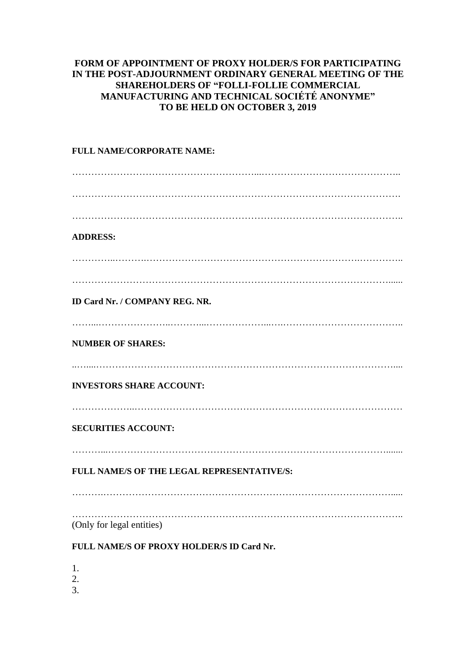## **FORM OF APPOINTMENT OF PROXY HOLDER/S FOR PARTICIPATING IN THE POST-ADJOURNMENT ORDINARY GENERAL MEETING OF THE SHAREHOLDERS OF "FOLLI-FOLLIE COMMERCIAL MANUFACTURING AND TECHNICAL SOCIÉTÉ ANONYME" TO BE HELD ON OCTOBER 3, 2019**

## **FULL NAME/CORPORATE NAME:** …………………………………………………...…………………………………….. …………………………………………………………………………………………. ………………………………………………………………………………………….. **ADDRESS:** …………..……….………………………………………………………….………….. ………………………………………………………………………………………...... **ID Card Nr. / COMPANY REG. NR.** ……...…………………..………...………………...….……………………………….. **NUMBER OF SHARES:** ..…....………………………………………………………………………………….... **INVESTORS SHARE ACCOUNT:** ………………..………………………………………………………………………… **SECURITIES ACCOUNT:** ………...……………………………………………………………………………....... **FULL NAME/S OF THE LEGAL REPRESENTATIVE/S:** ……….………………………………………………………………………………..... ………………………………………………………………………………………….. (Only for legal entities)

## **FULL NAME/S OF PROXY HOLDER/S ID Card Nr.**

1.

2.

3.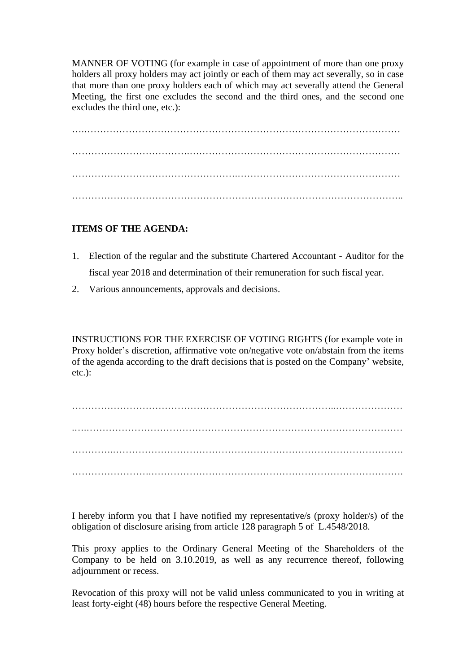MANNER OF VOTING (for example in case of appointment of more than one proxy holders all proxy holders may act jointly or each of them may act severally, so in case that more than one proxy holders each of which may act severally attend the General Meeting, the first one excludes the second and the third ones, and the second one excludes the third one, etc.):

….……………………………………………………………………………………… ……………………………….………………………………………………………… …………………………………………….…………………………………………… …………………………………………………………………………………………..

## **ITEMS OF THE AGENDA:**

- 1. Election of the regular and the substitute Chartered Accountant Auditor for the fiscal year 2018 and determination of their remuneration for such fiscal year.
- 2. Various announcements, approvals and decisions.

INSTRUCTIONS FOR THE EXERCISE OF VOTING RIGHTS (for example vote in Proxy holder's discretion, affirmative vote on/negative vote on/abstain from the items of the agenda according to the draft decisions that is posted on the Company' website, etc.):

………………………………………………………………………..………………… .….……………………………………………………………………………………… ………….………………………………………………………………………………. …………………….…………………………………………………………………….

I hereby inform you that I have notified my representative/s (proxy holder/s) of the obligation of disclosure arising from article 128 paragraph 5 of L.4548/2018.

This proxy applies to the Ordinary General Meeting of the Shareholders of the Company to be held on 3.10.2019, as well as any recurrence thereof, following adjournment or recess.

Revocation of this proxy will not be valid unless communicated to you in writing at least forty-eight (48) hours before the respective General Meeting.